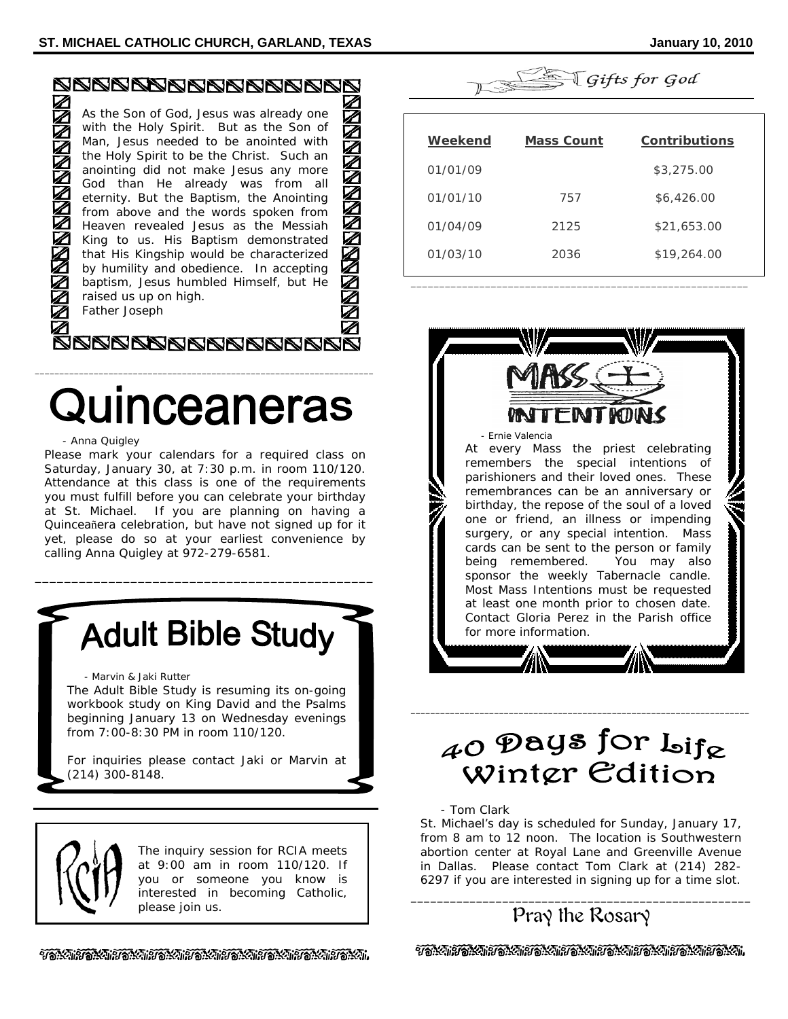| Z<br>$\mathbb Z$<br><b>ZAZZAZZAZZA</b><br>Ź | As the Son of God, Jesus was already one<br>with the Holy Spirit. But as the Son of<br>Man, Jesus needed to be anointed with<br>the Holy Spirit to be the Christ. Such an<br>anointing did not make Jesus any more<br>God than He already was from all<br>eternity. But the Baptism, the Anointing<br>from above and the words spoken from<br>Heaven revealed Jesus as the Messiah<br>King to us. His Baptism demonstrated<br>that His Kingship would be characterized | $\mathbb Z$<br>$\boldsymbol{\mathbb{Z}}$<br>$\overline{\mathbb{Z}}$<br>H<br>$\mathbb Z$<br>H<br>Ź |
|---------------------------------------------|------------------------------------------------------------------------------------------------------------------------------------------------------------------------------------------------------------------------------------------------------------------------------------------------------------------------------------------------------------------------------------------------------------------------------------------------------------------------|---------------------------------------------------------------------------------------------------|
|                                             | by humility and obedience. In accepting<br>baptism, Jesus humbled Himself, but He                                                                                                                                                                                                                                                                                                                                                                                      | $\mathbb Z$                                                                                       |
|                                             | raised us up on high.<br>Father Joseph                                                                                                                                                                                                                                                                                                                                                                                                                                 |                                                                                                   |
|                                             |                                                                                                                                                                                                                                                                                                                                                                                                                                                                        |                                                                                                   |

# Quinceaneras

\_\_\_\_\_\_\_\_\_\_\_\_\_\_\_\_\_\_\_\_\_\_\_\_\_\_\_\_\_\_\_\_\_\_\_\_\_\_\_\_\_\_\_\_\_\_\_\_\_\_\_\_\_\_\_\_\_\_\_\_\_\_\_\_\_\_\_\_\_

#### - Anna Quigley

Please mark your calendars for a required class on Saturday, January 30, at 7:30 p.m. in room 110/120. Attendance at this class is one of the requirements you must fulfill before you can celebrate your birthday at St. Michael. If you are planning on having a Quinceañera celebration, but have not signed up for it yet, please do so at your earliest convenience by calling Anna Quigley at 972-279-6581.

**Adult Bible Study** 

\_\_\_\_\_\_\_\_\_\_\_\_\_\_\_\_\_\_\_\_\_\_\_\_\_\_\_\_\_\_\_\_\_\_\_\_\_\_\_\_\_\_\_\_\_\_

- Marvin & Jaki Rutter

The Adult Bible Study is resuming its on-going workbook study on King David and the Psalms beginning January 13 on Wednesday evenings from 7:00-8:30 PM in room 110/120.

For inquiries please contact Jaki or Marvin at (214) 300-8148.



The inquiry session for RCIA meets at 9:00 am in room 110/120. If you or someone you know is interested in becoming Catholic, please join us.



| Weekend  | <b>Mass Count</b> | <b>Contributions</b> |
|----------|-------------------|----------------------|
| 01/01/09 |                   | \$3,275.00           |
| 01/01/10 | 757               | \$6,426.00           |
| 01/04/09 | 2125              | \$21,653.00          |
| 01/03/10 | 2036              | \$19,264.00          |
|          |                   |                      |

\_\_\_\_\_\_\_\_\_\_\_\_\_\_\_\_\_\_\_\_\_\_\_\_\_\_\_\_\_\_\_\_\_\_\_\_\_\_\_\_\_\_\_\_\_\_\_\_\_\_\_\_\_\_\_\_\_\_\_



# $_{\mathcal{A} \mathcal{O}}$  Days for  $_{\mathsf{bif}_{\mathcal{R}}}$ Winter Edition

\_\_\_\_\_\_\_\_\_\_\_\_\_\_\_\_\_\_\_\_\_\_\_\_\_\_\_\_\_\_\_\_\_\_\_\_\_\_\_\_\_\_\_\_\_\_\_\_\_\_\_\_\_\_\_\_\_\_\_\_\_\_\_\_\_\_\_\_\_

- Tom Clark

St. Michael's day is scheduled for Sunday, January 17, from 8 am to 12 noon. The location is Southwestern abortion center at Royal Lane and Greenville Avenue in Dallas. Please contact Tom Clark at (214) 282- 6297 if you are interested in signing up for a time slot.

# \_\_\_\_\_\_\_\_\_\_\_\_\_\_\_\_\_\_\_\_\_\_\_\_\_\_\_\_\_\_\_\_\_\_\_\_\_\_\_\_\_\_\_\_\_\_\_\_\_\_\_\_ Pray the Rosary

วัชนีสำคัญมีอันสิทธิ์ชันสำคัญสัญลักษณ์ จัดนี้มีอันสิทธิ์ชันสำคัญสัญ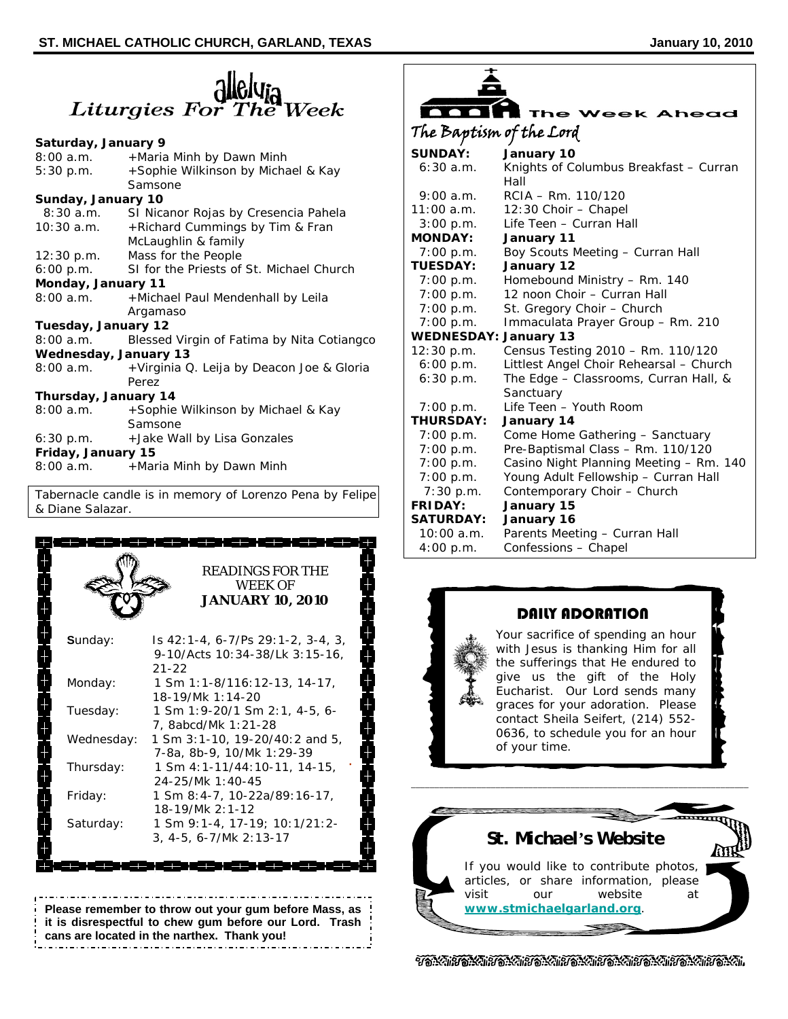# **CHUPIC**<br>Liturgies For The Week

#### **Saturday, January 9**

| 8:00 a.m.                    | +Maria Minh by Dawn Minh                             |
|------------------------------|------------------------------------------------------|
| 5:30 p.m.                    | +Sophie Wilkinson by Michael & Kay                   |
|                              | Samsone                                              |
| Sunday, January 10           |                                                      |
| 8:30 a.m.                    | SI Nicanor Rojas by Cresencia Pahela                 |
| 10:30 a.m.                   | +Richard Cummings by Tim & Fran                      |
|                              | McLaughlin & family                                  |
|                              | 12:30 p.m. Mass for the People                       |
|                              | 6:00 p.m. SI for the Priests of St. Michael Church   |
| Monday, January 11           |                                                      |
|                              | 8:00 a.m. + Michael Paul Mendenhall by Leila         |
|                              | Argamaso                                             |
| Tuesday, January 12          |                                                      |
|                              | 8:00 a.m. Blessed Virgin of Fatima by Nita Cotiangco |
| <b>Wednesday, January 13</b> |                                                      |
| 8:00 a.m.                    | +Virginia Q. Leija by Deacon Joe & Gloria            |
|                              | Perez                                                |
| Thursday, January 14         |                                                      |
|                              | 8:00 a.m. + Sophie Wilkinson by Michael & Kay        |
|                              | Samsone                                              |
|                              | 6:30 p.m. + Jake Wall by Lisa Gonzales               |
| Friday, January 15           |                                                      |
| 8:00a.m.                     | +Maria Minh by Dawn Minh                             |

Tabernacle candle is in memory of Lorenzo Pena by Felipe & Diane Salazar.



### **Please remember to throw out your gum before Mass, as it is disrespectful to chew gum before our Lord. Trash cans are located in the narthex. Thank you!**

|                              | <b>The Week Ahead</b>                          |
|------------------------------|------------------------------------------------|
| The Baptism of the Lord      |                                                |
| <b>SUNDAY:</b>               | January 10                                     |
| 6:30a.m.                     | Knights of Columbus Breakfast - Curran<br>Hall |
| $9:00$ a.m.                  | $RCIA - Rm. 110/120$                           |
| $11:00$ a.m.                 | 12:30 Choir - Chapel                           |
| 3:00 p.m.                    | Life Teen - Curran Hall                        |
| <b>MONDAY:</b>               | January 11                                     |
| 7:00 p.m.                    | Boy Scouts Meeting - Curran Hall               |
| <b>TUESDAY:</b>              | January 12                                     |
| 7:00 p.m.                    | Homebound Ministry - Rm. 140                   |
| 7:00 p.m.                    | 12 noon Choir – Curran Hall                    |
| 7:00 p.m.                    | St. Gregory Choir - Church                     |
| 7:00 p.m.                    | Immaculata Prayer Group - Rm. 210              |
| <b>WEDNESDAY: January 13</b> |                                                |
| 12:30 p.m.                   | Census Testing 2010 - Rm. 110/120              |
| 6:00 p.m.                    | Littlest Angel Choir Rehearsal - Church        |
| 6:30 p.m.                    | The Edge - Classrooms, Curran Hall, &          |
|                              | Sanctuary                                      |
| 7:00 p.m.                    | Life Teen - Youth Room                         |
| <b>THURSDAY:</b>             | January 14                                     |
| 7:00 p.m.                    | Come Home Gathering - Sanctuary                |
| 7:00 p.m.                    | Pre-Baptismal Class - Rm. 110/120              |
| 7:00 p.m.                    | Casino Night Planning Meeting - Rm. 140        |
| 7:00 p.m.                    | Young Adult Fellowship - Curran Hall           |
| $7:30$ p.m.                  | Contemporary Choir - Church                    |
| <b>FRIDAY:</b>               | January 15                                     |
| <b>SATURDAY:</b>             | January 16                                     |
| 10:00a.m.                    | Parents Meeting - Curran Hall                  |
| 4:00 p.m.                    | Confessions - Chapel                           |



# DAILY ADORATION

Your sacrifice of spending an hour with Jesus is thanking Him for all the sufferings that He endured to give us the gift of the Holy Eucharist. Our Lord sends many graces for your adoration. Please contact Sheila Seifert, (214) 552- 0636, to schedule you for an hour of your time.



**\_\_\_\_\_\_\_\_\_\_\_\_\_\_\_\_\_\_\_\_\_\_\_\_\_\_\_\_\_\_\_\_\_\_\_\_\_\_\_\_\_\_\_\_\_\_\_\_\_\_\_\_\_\_\_\_\_\_\_\_\_\_\_\_\_\_\_\_\_\_\_\_** 

ชัดนั้นเข้ดนั้นเข้ดนั้นเข้ดนั้นเข้ดนั้นเข้ดนั้นเข้ดนั้นเข้ดนั้นเข้ดนั้นเ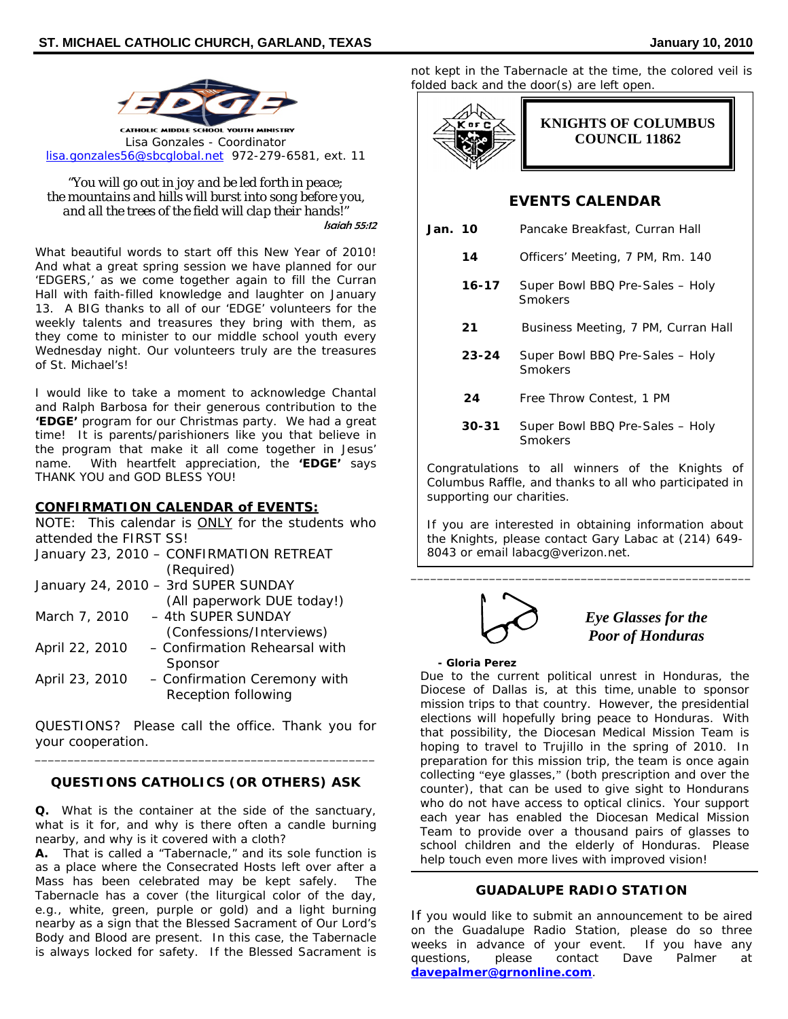

*"You will go out in joy and be led forth in peace; the mountains and hills will burst into song before you, and all the trees of the field will clap their hands!"*  Isaiah 55:12

What beautiful words to start off this New Year of 2010! And what a great spring session we have planned for our 'EDGERS,' as we come together again to fill the Curran Hall with faith-filled knowledge and laughter on January 13. A BIG thanks to all of our 'EDGE' volunteers for the weekly talents and treasures they bring with them, as they come to minister to our middle school youth every Wednesday night. Our volunteers truly are the treasures of St. Michael's!

I would like to take a moment to acknowledge Chantal and Ralph Barbosa for their generous contribution to the *'EDGE'* program for our Christmas party. We had a great time! It is parents/parishioners like you that believe in the program that make it all come together in Jesus' name. With heartfelt appreciation, the *'EDGE'* says THANK YOU and GOD BLESS YOU!

#### **CONFIRMATION CALENDAR of EVENTS:**

|                        | NOTE: This calendar is <b>ONLY</b> for the students who |
|------------------------|---------------------------------------------------------|
| attended the FIRST SS! |                                                         |
|                        | January 23, 2010 - CONFIRMATION RETREAT                 |
|                        | (Required)                                              |
|                        | January 24, 2010 - 3rd SUPER SUNDAY                     |
|                        | (All paperwork DUE today!)                              |
| March 7, 2010          | - 4th SUPER SUNDAY                                      |
|                        | (Confessions/Interviews)                                |
| April 22, 2010         | - Confirmation Rehearsal with                           |
|                        | Sponsor                                                 |
| April 23, 2010         | - Confirmation Ceremony with                            |
|                        | Reception following                                     |
|                        |                                                         |

QUESTIONS? Please call the office. Thank you for your cooperation. \_\_\_\_\_\_\_\_\_\_\_\_\_\_\_\_\_\_\_\_\_\_\_\_\_\_\_\_\_\_\_\_\_\_\_\_\_\_\_\_\_\_\_\_\_\_\_\_\_\_\_\_

## *QUESTIONS CATHOLICS (OR OTHERS) ASK*

**Q.** What is the container at the side of the sanctuary, what is it for, and why is there often a candle burning nearby, and why is it covered with a cloth?

**A.** That is called a "Tabernacle," and its sole function is as a place where the Consecrated Hosts left over after a Mass has been celebrated may be kept safely. The Tabernacle has a cover (the liturgical color of the day, e.g., white, green, purple or gold) and a light burning nearby as a sign that the Blessed Sacrament of Our Lord's Body and Blood are present. In this case, the Tabernacle is always locked for safety. If the Blessed Sacrament is not kept in the Tabernacle at the time, the colored veil is folded back and the door(s) are left open.



# **EVENTS CALENDAR**

| Jan. 10 |           | Pancake Breakfast, Curran Hall             |  |
|---------|-----------|--------------------------------------------|--|
|         | 14        | Officers' Meeting, 7 PM, Rm. 140           |  |
|         | $16 - 17$ | Super Bowl BBQ Pre-Sales - Holy<br>Smokers |  |
|         | 21        | Business Meeting, 7 PM, Curran Hall        |  |
|         | $23 - 24$ | Super Bowl BBQ Pre-Sales - Holy<br>Smokers |  |
|         | 24        | Free Throw Contest, 1 PM                   |  |
|         | 30-31     | Super Bowl BBQ Pre-Sales - Holy            |  |

Smokers

Congratulations to all winners of the Knights of Columbus Raffle, and thanks to all who participated in supporting our charities.

If you are interested in obtaining information about the Knights, please contact Gary Labac at (214) 649- 8043 or email labacg@verizon.net.

\_\_\_\_\_\_\_\_\_\_\_\_\_\_\_\_\_\_\_\_\_\_\_\_\_\_\_\_\_\_\_\_\_\_\_\_\_\_\_\_\_\_\_\_\_\_\_\_\_\_\_\_



## *Eye Glasses for the Poor of Honduras*

#### **- Gloria Perez**

Due to the current political unrest in Honduras, the Diocese of Dallas is, at this time, unable to sponsor mission trips to that country. However, the presidential elections will hopefully bring peace to Honduras. With that possibility, the Diocesan Medical Mission Team is hoping to travel to Trujillo in the spring of 2010. In preparation for this mission trip, the team is once again collecting "eye glasses," (both prescription and over the counter), that can be used to give sight to Hondurans who do not have access to optical clinics. Your support each year has enabled the Diocesan Medical Mission Team to provide over a thousand pairs of glasses to school children and the elderly of Honduras. Please help touch even more lives with improved vision!

#### **GUADALUPE RADIO STATION**

If you would like to submit an announcement to be aired on the Guadalupe Radio Station, please do so three weeks in advance of your event. If you have any questions, please contact Dave Palmer at **davepalmer@grnonline.com**.